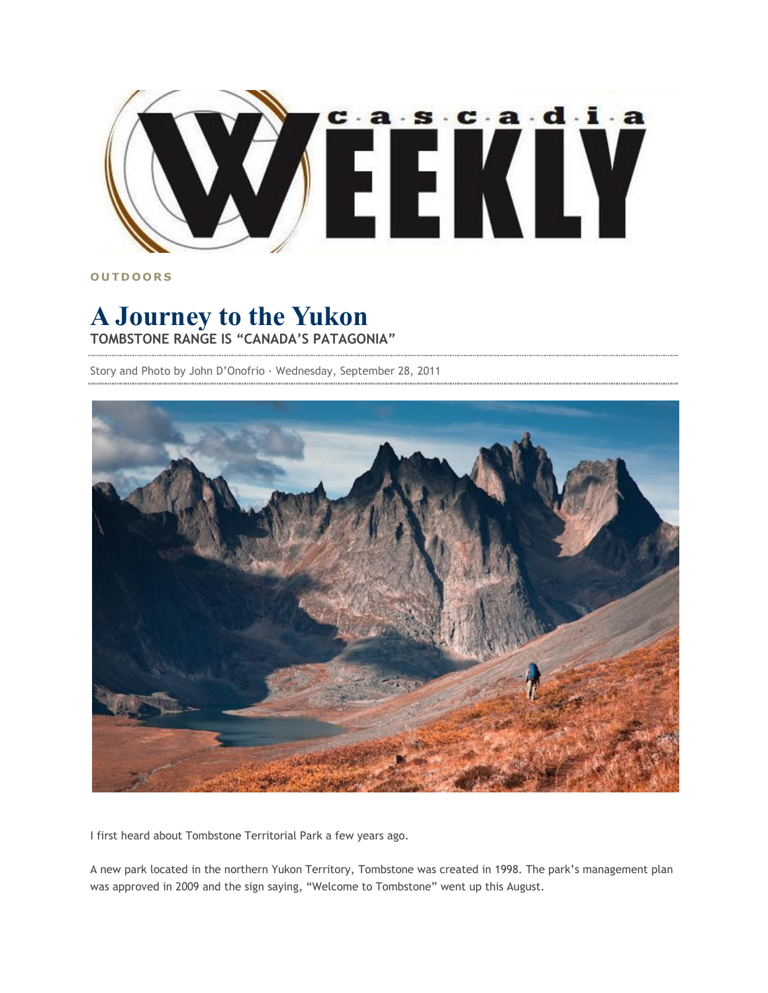

**O U T D O O R S**

## **A Journey to the Yukon TOMBSTONE RANGE IS "CANADA'S PATAGONIA"**

Story and Photo by John D'Onofrio · Wednesday, September 28, 2011



I first heard about Tombstone Territorial Park a few years ago.

A new park located in the northern Yukon Territory, Tombstone was created in 1998. The park's management plan was approved in 2009 and the sign saying, "Welcome to Tombstone" went up this August.